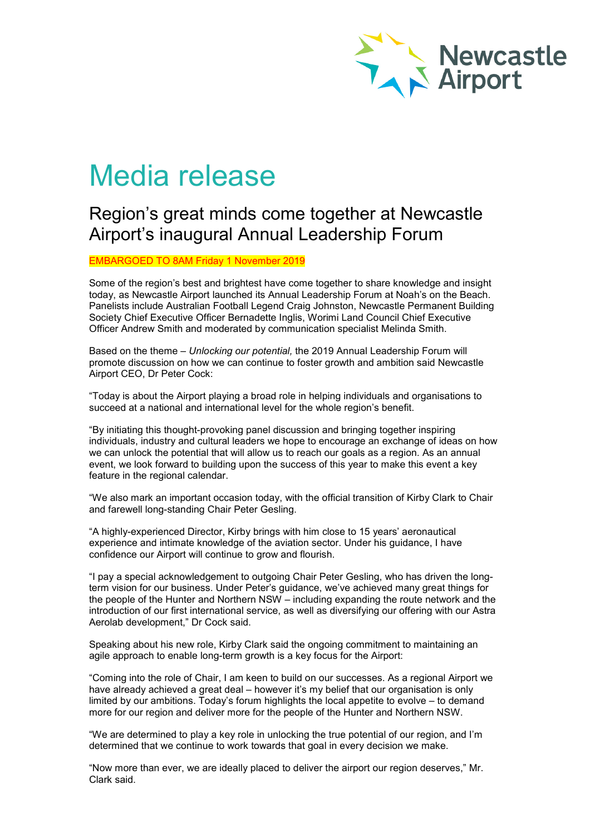

# Media release

# Region's great minds come together at Newcastle Airport's inaugural Annual Leadership Forum

EMBARGOED TO 8AM Friday 1 November 2019

Some of the region's best and brightest have come together to share knowledge and insight today, as Newcastle Airport launched its Annual Leadership Forum at Noah's on the Beach. Panelists include Australian Football Legend Craig Johnston, Newcastle Permanent Building Society Chief Executive Officer Bernadette Inglis, Worimi Land Council Chief Executive Officer Andrew Smith and moderated by communication specialist Melinda Smith.

Based on the theme – *Unlocking our potential,* the 2019 Annual Leadership Forum will promote discussion on how we can continue to foster growth and ambition said Newcastle Airport CEO, Dr Peter Cock:

"Today is about the Airport playing a broad role in helping individuals and organisations to succeed at a national and international level for the whole region's benefit.

"By initiating this thought-provoking panel discussion and bringing together inspiring individuals, industry and cultural leaders we hope to encourage an exchange of ideas on how we can unlock the potential that will allow us to reach our goals as a region. As an annual event, we look forward to building upon the success of this year to make this event a key feature in the regional calendar.

"We also mark an important occasion today, with the official transition of Kirby Clark to Chair and farewell long-standing Chair Peter Gesling.

"A highly-experienced Director, Kirby brings with him close to 15 years' aeronautical experience and intimate knowledge of the aviation sector. Under his guidance, I have confidence our Airport will continue to grow and flourish.

"I pay a special acknowledgement to outgoing Chair Peter Gesling, who has driven the longterm vision for our business. Under Peter's guidance, we've achieved many great things for the people of the Hunter and Northern NSW – including expanding the route network and the introduction of our first international service, as well as diversifying our offering with our Astra Aerolab development," Dr Cock said.

Speaking about his new role, Kirby Clark said the ongoing commitment to maintaining an agile approach to enable long-term growth is a key focus for the Airport:

"Coming into the role of Chair, I am keen to build on our successes. As a regional Airport we have already achieved a great deal – however it's my belief that our organisation is only limited by our ambitions. Today's forum highlights the local appetite to evolve – to demand more for our region and deliver more for the people of the Hunter and Northern NSW.

"We are determined to play a key role in unlocking the true potential of our region, and I'm determined that we continue to work towards that goal in every decision we make.

"Now more than ever, we are ideally placed to deliver the airport our region deserves," Mr. Clark said.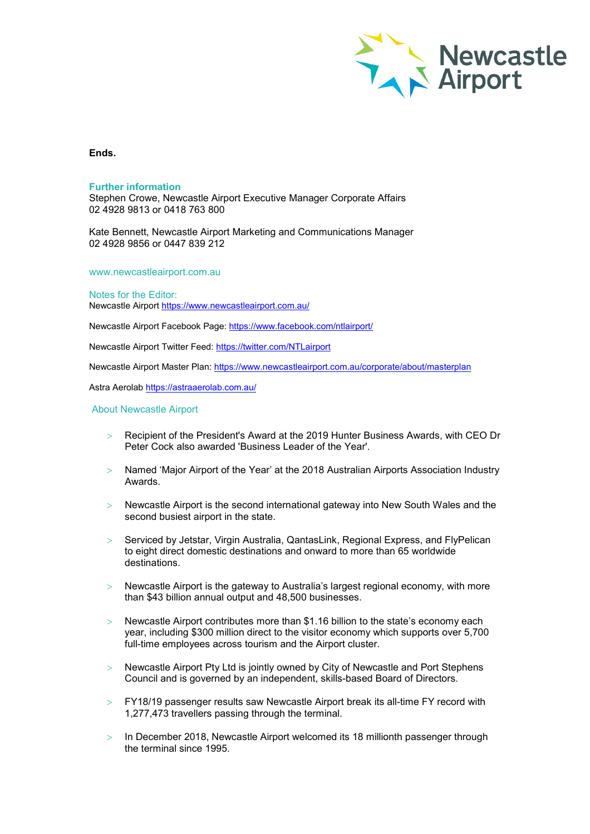

## **Ends.**

### **Further information**

Stephen Crowe, Newcastle Airport Executive Manager Corporate Affairs 02 4928 9813 or 0418 763 800

Kate Bennett, Newcastle Airport Marketing and Communications Manager 02 4928 9856 or 0447 839 212

www.newcastleairport.com.au

Notes for the Editor: Newcastle Airport<https://www.newcastleairport.com.au/>

Newcastle Airport Facebook Page: <https://www.facebook.com/ntlairport/>

Newcastle Airport Twitter Feed:<https://twitter.com/NTLairport>

Newcastle Airport Master Plan:<https://www.newcastleairport.com.au/corporate/about/masterplan>

Astra Aerolab<https://astraaerolab.com.au/>

#### About Newcastle Airport

- > Recipient of the President's Award at the 2019 Hunter Business Awards, with CEO Dr Peter Cock also awarded 'Business Leader of the Year'.
- > Named 'Major Airport of the Year' at the 2018 Australian Airports Association Industry Awards.
- > Newcastle Airport is the second international gateway into New South Wales and the second busiest airport in the state.
- > Serviced by Jetstar, Virgin Australia, QantasLink, Regional Express, and FlyPelican to eight direct domestic destinations and onward to more than 65 worldwide destinations.
- $>$  Newcastle Airport is the gateway to Australia's largest regional economy, with more than \$43 billion annual output and 48,500 businesses.
- > Newcastle Airport contributes more than \$1.16 billion to the state's economy each year, including \$300 million direct to the visitor economy which supports over 5,700 full-time employees across tourism and the Airport cluster.
- > Newcastle Airport Pty Ltd is jointly owned by City of Newcastle and Port Stephens Council and is governed by an independent, skills-based Board of Directors.
- $>$  FY18/19 passenger results saw Newcastle Airport break its all-time FY record with 1,277,473 travellers passing through the terminal.
- > In December 2018, Newcastle Airport welcomed its 18 millionth passenger through the terminal since 1995.